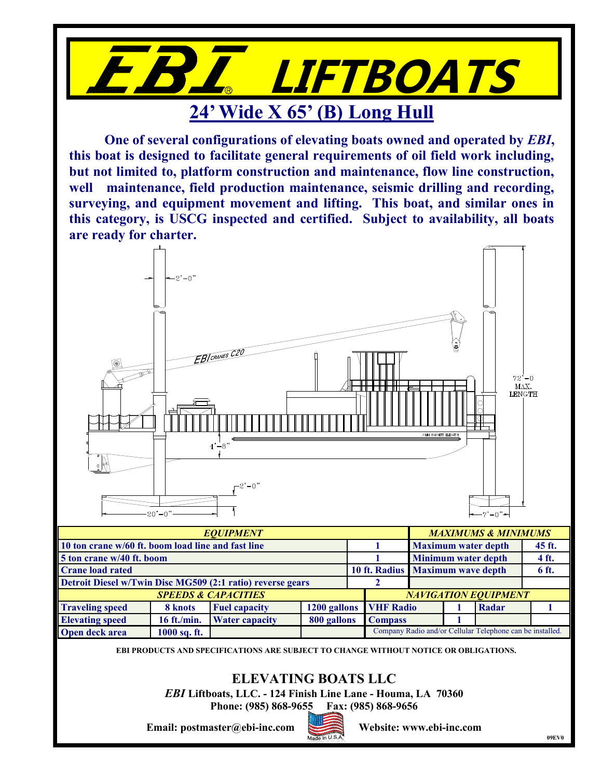

**One of several configurations of elevating boats owned and operated by** *EBI***, this boat is designed to facilitate general requirements of oil field work including, but not limited to, platform construction and maintenance, flow line construction, well maintenance, field production maintenance, seismic drilling and recording, surveying, and equipment movement and lifting. This boat, and similar ones in this category, is USCG inspected and certified. Subject to availability, all boats are ready for charter.**



**EBI PRODUCTS AND SPECIFICATIONS ARE SUBJECT TO CHANGE WITHOUT NOTICE OR OBLIGATIONS.**

## **ELEVATING BOATS LLC**

*EBI* **Liftboats, LLC. - 124 Finish Line Lane - Houma, LA 70360**

**Phone: (985) 868-9655 Fax: (985) 868-9656**

**Email: postmaster@ebi-inc.com Website: www.ebi-inc.com**

**Open deck area 1000 sq. ft.**



Company Radio and/or Cellular Telephone can be installed.